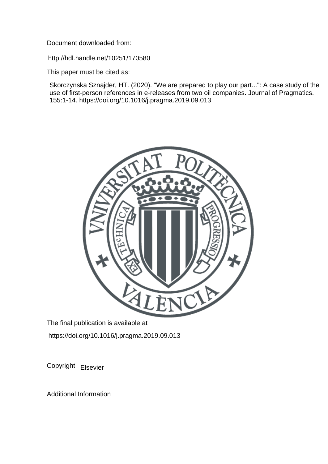Document downloaded from:

http://hdl.handle.net/10251/170580

This paper must be cited as:

Skorczynska Sznajder, HT. (2020). "We are prepared to play our part...": A case study of the use of first-person references in e-releases from two oil companies. Journal of Pragmatics. 155:1-14. https://doi.org/10.1016/j.pragma.2019.09.013



The final publication is available at https://doi.org/10.1016/j.pragma.2019.09.013

Copyright Elsevier

Additional Information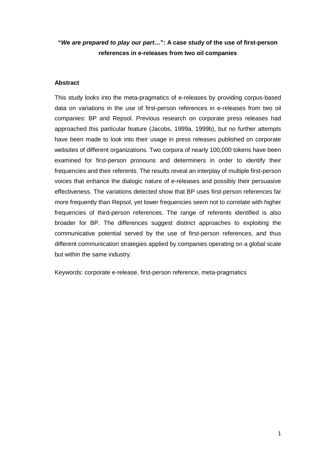# **"***We are prepared to play our part***…": A case study of the use of first-person references in e-releases from two oil companies**

# **Abstract**

This study looks into the meta-pragmatics of e-releases by providing corpus-based data on variations in the use of first-person references in e-releases from two oil companies: BP and Repsol. Previous research on corporate press releases had approached this particular feature (Jacobs, 1999a, 1999b), but no further attempts have been made to look into their usage in press releases published on corporate websites of different organizations. Two corpora of nearly 100,000 tokens have been examined for first-person pronouns and determiners in order to identify their frequencies and their referents. The results reveal an interplay of multiple first-person voices that enhance the dialogic nature of e-releases and possibly their persuasive effectiveness. The variations detected show that BP uses first-person references far more frequently than Repsol, yet lower frequencies seem not to correlate with higher frequencies of third-person references. The range of referents identified is also broader for BP. The differences suggest distinct approaches to exploiting the communicative potential served by the use of first-person references, and thus different communication strategies applied by companies operating on a global scale but within the same industry.

Keywords: corporate e-release, first-person reference, meta-pragmatics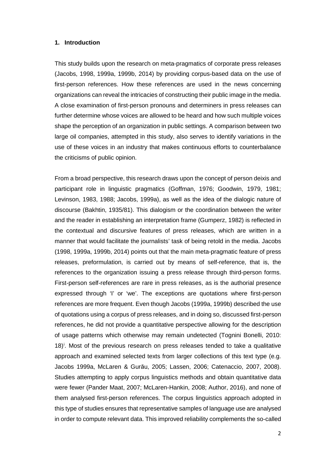#### **1. Introduction**

This study builds upon the research on meta-pragmatics of corporate press releases (Jacobs, 1998, 1999a, 1999b, 2014) by providing corpus-based data on the use of first-person references. How these references are used in the news concerning organizations can reveal the intricacies of constructing their public image in the media. A close examination of first-person pronouns and determiners in press releases can further determine whose voices are allowed to be heard and how such multiple voices shape the perception of an organization in public settings. A comparison between two large oil companies, attempted in this study, also serves to identify variations in the use of these voices in an industry that makes continuous efforts to counterbalance the criticisms of public opinion.

From a broad perspective, this research draws upon the concept of person deixis and participant role in linguistic pragmatics (Goffman, 1976; Goodwin, 1979, 1981; Levinson, 1983, 1988; Jacobs, 1999a), as well as the idea of the dialogic nature of discourse (Bakhtin, 1935/81). This dialogism or the coordination between the writer and the reader in establishing an interpretation frame (Gumperz, 1982) is reflected in the contextual and discursive features of press releases, which are written in a manner that would facilitate the journalists' task of being retold in the media. Jacobs (1998, 1999a, 1999b, 2014) points out that the main meta-pragmatic feature of press releases, preformulation, is carried out by means of self-reference, that is, the references to the organization issuing a press release through third-person forms. First-person self-references are rare in press releases, as is the authorial presence expressed through 'I' or 'we'. The exceptions are quotations where first-person references are more frequent. Even though Jacobs (1999a, 1999b) described the use of quotations using a corpus of press releases, and in doing so, discussed first-person references, he did not provide a quantitative perspective allowing for the description of usage patterns which otherwise may remain undetected (Tognini Bonelli, 2010:  $18)$ <sup>[i](#page-28-0)</sup>. Most of the previous research on press releases tended to take a qualitative approach and examined selected texts from larger collections of this text type (e.g. Jacobs 1999a, McLaren & Gurău, 2005; Lassen, 2006; Catenaccio, 2007, 2008). Studies attempting to apply corpus linguistics methods and obtain quantitative data were fewer (Pander Maat, 2007; McLaren-Hankin, 2008; Author, 2016), and none of them analysed first-person references. The corpus linguistics approach adopted in this type of studies ensures that representative samples of language use are analysed in order to compute relevant data. This improved reliability complements the so-called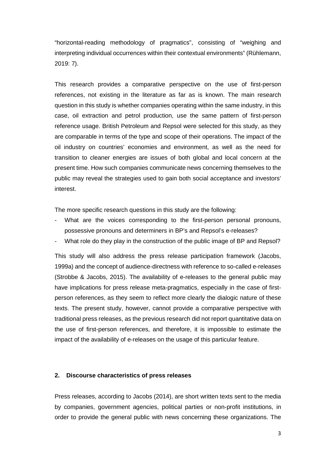"horizontal-reading methodology of pragmatics", consisting of "weighing and interpreting individual occurrences within their contextual environments" (Rühlemann, 2019: 7).

This research provides a comparative perspective on the use of first-person references, not existing in the literature as far as is known. The main research question in this study is whether companies operating within the same industry, in this case, oil extraction and petrol production, use the same pattern of first-person reference usage. British Petroleum and Repsol were selected for this study, as they are comparable in terms of the type and scope of their operations. The impact of the oil industry on countries' economies and environment, as well as the need for transition to cleaner energies are issues of both global and local concern at the present time. How such companies communicate news concerning themselves to the public may reveal the strategies used to gain both social acceptance and investors' interest.

The more specific research questions in this study are the following:

- What are the voices corresponding to the first-person personal pronouns, possessive pronouns and determiners in BP's and Repsol's e-releases?
- What role do they play in the construction of the public image of BP and Repsol?

This study will also address the press release participation framework (Jacobs, 1999a) and the concept of audience-directness with reference to so-called e-releases (Strobbe & Jacobs, 2015). The availability of e-releases to the general public may have implications for press release meta-pragmatics, especially in the case of firstperson references, as they seem to reflect more clearly the dialogic nature of these texts. The present study, however, cannot provide a comparative perspective with traditional press releases, as the previous research did not report quantitative data on the use of first-person references, and therefore, it is impossible to estimate the impact of the availability of e-releases on the usage of this particular feature.

#### **2. Discourse characteristics of press releases**

Press releases, according to Jacobs (2014), are short written texts sent to the media by companies, government agencies, political parties or non-profit institutions, in order to provide the general public with news concerning these organizations. The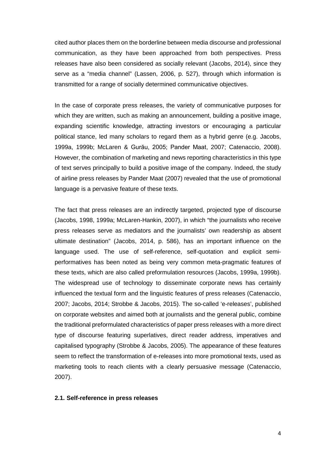cited author places them on the borderline between media discourse and professional communication, as they have been approached from both perspectives. Press releases have also been considered as socially relevant (Jacobs, 2014), since they serve as a "media channel" (Lassen, 2006, p. 527), through which information is transmitted for a range of socially determined communicative objectives.

In the case of corporate press releases, the variety of communicative purposes for which they are written, such as making an announcement, building a positive image, expanding scientific knowledge, attracting investors or encouraging a particular political stance, led many scholars to regard them as a hybrid genre (e.g. Jacobs, 1999a, 1999b; McLaren & Gurău, 2005; Pander Maat, 2007; Catenaccio, 2008). However, the combination of marketing and news reporting characteristics in this type of text serves principally to build a positive image of the company. Indeed, the study of airline press releases by Pander Maat (2007) revealed that the use of promotional language is a pervasive feature of these texts.

The fact that press releases are an indirectly targeted, projected type of discourse (Jacobs, 1998, 1999a; McLaren-Hankin, 2007), in which "the journalists who receive press releases serve as mediators and the journalists' own readership as absent ultimate destination" (Jacobs, 2014, p. 586), has an important influence on the language used. The use of self-reference, self-quotation and explicit semiperformatives has been noted as being very common meta-pragmatic features of these texts, which are also called preformulation resources (Jacobs, 1999a, 1999b). The widespread use of technology to disseminate corporate news has certainly influenced the textual form and the linguistic features of press releases (Catenaccio, 2007; Jacobs, 2014; Strobbe & Jacobs, 2015). The so-called 'e-releases', published on corporate websites and aimed both at journalists and the general public, combine the traditional preformulated characteristics of paper press releases with a more direct type of discourse featuring superlatives, direct reader address, imperatives and capitalised typography (Strobbe & Jacobs, 2005). The appearance of these features seem to reflect the transformation of e-releases into more promotional texts, used as marketing tools to reach clients with a clearly persuasive message (Catenaccio, 2007).

#### **2.1. Self-reference in press releases**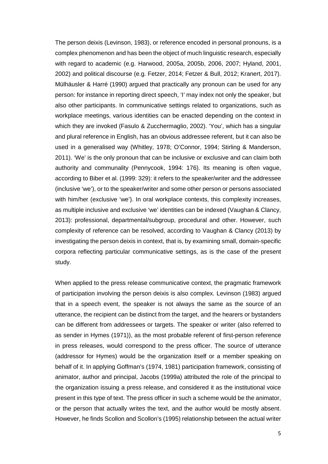The person deixis (Levinson, 1983), or reference encoded in personal pronouns, is a complex phenomenon and has been the object of much linguistic research, especially with regard to academic (e.g. Harwood, 2005a, 2005b, 2006, 2007; Hyland, 2001, 2002) and political discourse (e.g. Fetzer, 2014; Fetzer & Bull, 2012; Kranert, 2017). Mülhäusler & Harré (1990) argued that practically any pronoun can be used for any person: for instance in reporting direct speech, 'I' may index not only the speaker, but also other participants. In communicative settings related to organizations, such as workplace meetings, various identities can be enacted depending on the context in which they are invoked (Fasulo & Zucchermaglio, 2002). 'You', which has a singular and plural reference in English, has an obvious addressee referent, but it can also be used in a generalised way (Whitley, 1978; O'Connor, 1994; Stirling & Manderson, 2011). 'We' is the only pronoun that can be inclusive or exclusive and can claim both authority and communality (Pennycook, 1994: 176). Its meaning is often vague, according to Biber et al. (1999: 329): it refers to the speaker/writer and the addressee (inclusive 'we'), or to the speaker/writer and some other person or persons associated with him/her (exclusive 'we'). In oral workplace contexts, this complexity increases, as multiple inclusive and exclusive 'we' identities can be indexed (Vaughan & Clancy, 2013): professional, departmental/subgroup, procedural and other. However, such complexity of reference can be resolved, according to Vaughan & Clancy (2013) by investigating the person deixis in context, that is, by examining small, domain-specific corpora reflecting particular communicative settings, as is the case of the present study.

When applied to the press release communicative context, the pragmatic framework of participation involving the person deixis is also complex. Levinson (1983) argued that in a speech event, the speaker is not always the same as the source of an utterance, the recipient can be distinct from the target, and the hearers or bystanders can be different from addressees or targets. The speaker or writer (also referred to as sender in Hymes (1971)), as the most probable referent of first-person reference in press releases, would correspond to the press officer. The source of utterance (addressor for Hymes) would be the organization itself or a member speaking on behalf of it. In applying Goffman's (1974, 1981) participation framework, consisting of animator, author and principal, Jacobs (1999a) attributed the role of the principal to the organization issuing a press release, and considered it as the institutional voice present in this type of text. The press officer in such a scheme would be the animator, or the person that actually writes the text, and the author would be mostly absent. However, he finds Scollon and Scollon's (1995) relationship between the actual writer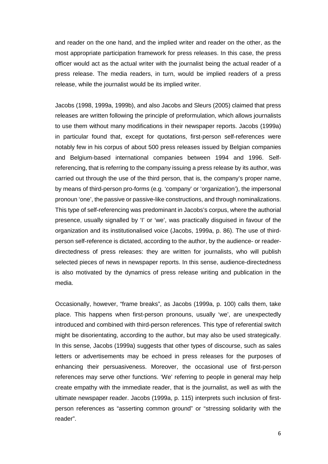and reader on the one hand, and the implied writer and reader on the other, as the most appropriate participation framework for press releases. In this case, the press officer would act as the actual writer with the journalist being the actual reader of a press release. The media readers, in turn, would be implied readers of a press release, while the journalist would be its implied writer.

Jacobs (1998, 1999a, 1999b), and also Jacobs and Sleurs (2005) claimed that press releases are written following the principle of preformulation, which allows journalists to use them without many modifications in their newspaper reports. Jacobs (1999a) in particular found that, except for quotations, first-person self-references were notably few in his corpus of about 500 press releases issued by Belgian companies and Belgium-based international companies between 1994 and 1996. Selfreferencing, that is referring to the company issuing a press release by its author, was carried out through the use of the third person, that is, the company's proper name, by means of third-person pro-forms (e.g. 'company' or 'organization'), the impersonal pronoun 'one', the passive or passive-like constructions, and through nominalizations. This type of self-referencing was predominant in Jacobs's corpus, where the authorial presence, usually signalled by 'I' or 'we', was practically disguised in favour of the organization and its institutionalised voice (Jacobs, 1999a, p. 86). The use of thirdperson self-reference is dictated, according to the author, by the audience- or readerdirectedness of press releases: they are written for journalists, who will publish selected pieces of news in newspaper reports. In this sense, audience-directedness is also motivated by the dynamics of press release writing and publication in the media.

Occasionally, however, "frame breaks", as Jacobs (1999a, p. 100) calls them, take place. This happens when first-person pronouns, usually 'we', are unexpectedly introduced and combined with third-person references. This type of referential switch might be disorientating, according to the author, but may also be used strategically. In this sense, Jacobs (1999a) suggests that other types of discourse, such as sales letters or advertisements may be echoed in press releases for the purposes of enhancing their persuasiveness. Moreover, the occasional use of first-person references may serve other functions. 'We' referring to people in general may help create empathy with the immediate reader, that is the journalist, as well as with the ultimate newspaper reader. Jacobs (1999a, p. 115) interprets such inclusion of firstperson references as "asserting common ground" or "stressing solidarity with the reader".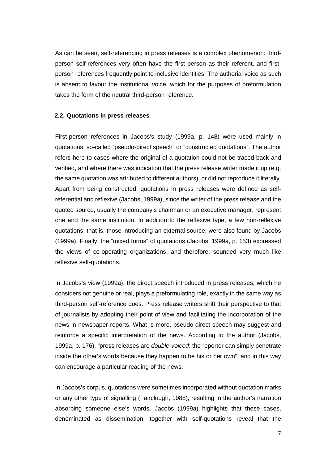As can be seen, self-referencing in press releases is a complex phenomenon: thirdperson self-references very often have the first person as their referent, and firstperson references frequently point to inclusive identities. The authorial voice as such is absent to favour the institutional voice, which for the purposes of preformulation takes the form of the neutral third-person reference.

### **2.2. Quotations in press releases**

First-person references in Jacobs's study (1999a, p. 148) were used mainly in quotations, so-called "pseudo-direct speech" or "constructed quotations". The author refers here to cases where the original of a quotation could not be traced back and verified, and where there was indication that the press release writer made it up (e.g. the same quotation was attributed to different authors), or did not reproduce it literally. Apart from being constructed, quotations in press releases were defined as selfreferential and reflexive (Jacobs, 1999a), since the writer of the press release and the quoted source, usually the company's chairman or an executive manager, represent one and the same institution. In addition to the reflexive type, a few non-reflexive quotations, that is, those introducing an external source, were also found by Jacobs (1999a). Finally, the "mixed forms" of quotations (Jacobs, 1999a, p. 153) expressed the views of co-operating organizations, and therefore, sounded very much like reflexive self-quotations.

In Jacobs's view (1999a), the direct speech introduced in press releases, which he considers not genuine or real, plays a preformulating role, exactly in the same way as third-person self-reference does. Press release writers shift their perspective to that of journalists by adopting their point of view and facilitating the incorporation of the news in newspaper reports. What is more, pseudo-direct speech may suggest and reinforce a specific interpretation of the news. According to the author (Jacobs, 1999a, p. 176), "press releases are *double-voiced*: the reporter can simply penetrate inside the other's words because they happen to be his or her own", and in this way can encourage a particular reading of the news.

In Jacobs's corpus, quotations were sometimes incorporated without quotation marks or any other type of signalling (Fairclough, 1988), resulting in the author's narration absorbing someone else's words. Jacobs (1999a) highlights that these cases, denominated as dissemination, together with self-quotations reveal that the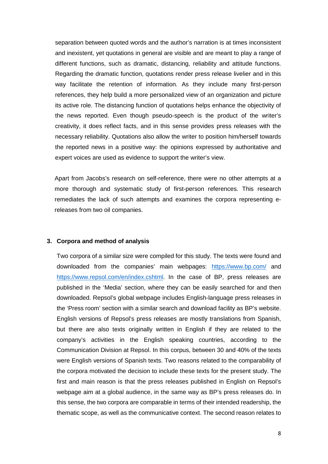separation between quoted words and the author's narration is at times inconsistent and inexistent, yet quotations in general are visible and are meant to play a range of different functions, such as dramatic, distancing, reliability and attitude functions. Regarding the dramatic function, quotations render press release livelier and in this way facilitate the retention of information. As they include many first-person references, they help build a more personalized view of an organization and picture its active role. The distancing function of quotations helps enhance the objectivity of the news reported. Even though pseudo-speech is the product of the writer's creativity, it does reflect facts, and in this sense provides press releases with the necessary reliability. Quotations also allow the writer to position him/herself towards the reported news in a positive way: the opinions expressed by authoritative and expert voices are used as evidence to support the writer's view.

Apart from Jacobs's research on self-reference, there were no other attempts at a more thorough and systematic study of first-person references. This research remediates the lack of such attempts and examines the corpora representing ereleases from two oil companies.

#### **3. Corpora and method of analysis**

Two corpora of a similar size were compiled for this study. The texts were found and downloaded from the companies' main webpages: <https://www.bp.com/> and [https://www.repsol.com/en/index.cshtml.](https://www.repsol.com/en/index.cshtml) In the case of BP, press releases are published in the 'Media' section, where they can be easily searched for and then downloaded. Repsol's global webpage includes English-language press releases in the 'Press room' section with a similar search and download facility as BP's website. English versions of Repsol's press releases are mostly translations from Spanish, but there are also texts originally written in English if they are related to the company's activities in the English speaking countries, according to the Communication Division at Repsol. In this corpus, between 30 and 40% of the texts were English versions of Spanish texts. Two reasons related to the comparability of the corpora motivated the decision to include these texts for the present study. The first and main reason is that the press releases published in English on Repsol's webpage aim at a global audience, in the same way as BP's press releases do. In this sense, the two corpora are comparable in terms of their intended readership, the thematic scope, as well as the communicative context. The second reason relates to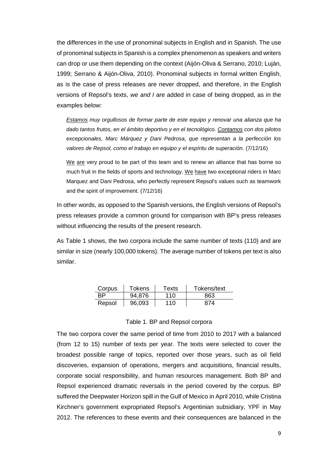the differences in the use of pronominal subjects in English and in Spanish. The use of pronominal subjects in Spanish is a complex phenomenon as speakers and writers can drop or use them depending on the context (Aijón-Oliva & Serrano, 2010; Luján, 1999; Serrano & Aijón-Oliva, 2010). Pronominal subjects in formal written English, as is the case of press releases are never dropped, and therefore, in the English versions of Repsol's texts, *we and I* are added in case of being dropped, as in the examples below:

*Estamos muy orgullosos de formar parte de este equipo y renovar una alianza que ha dado tantos frutos, en el ámbito deportivo y en el tecnológico. Contamos con dos pilotos excepcionales, Marc Márquez y Dani Pedrosa, que representan a la perfección los valores de Repsol, como el trabajo en equipo y el espíritu de superación*. (7/12/16)

We are very proud to be part of this team and to renew an alliance that has borne so much fruit in the fields of sports and technology. We have two exceptional riders in Marc Marquez and Dani Pedrosa, who perfectly represent Repsol's values such as teamwork and the spirit of improvement. (7/12/16)

In other words, as opposed to the Spanish versions, the English versions of Repsol's press releases provide a common ground for comparison with BP's press releases without influencing the results of the present research.

As Table 1 shows, the two corpora include the same number of texts (110) and are similar in size (nearly 100,000 tokens). The average number of tokens per text is also similar.

| Corpus | <b>Tokens</b> | Texts | Tokens/text |
|--------|---------------|-------|-------------|
| RP.    | 94,876        | 110   | 863         |
| Repsol | 96,093        | 110   | 874         |

#### Table 1. BP and Repsol corpora

The two corpora cover the same period of time from 2010 to 2017 with a balanced (from 12 to 15) number of texts per year. The texts were selected to cover the broadest possible range of topics, reported over those years, such as oil field discoveries, expansion of operations, mergers and acquisitions, financial results, corporate social responsibility, and human resources management. Both BP and Repsol experienced dramatic reversals in the period covered by the corpus. BP suffered the Deepwater Horizon spill in the Gulf of Mexico in April 2010, while Cristina Kirchner's government expropriated Repsol's Argentinian subsidiary, YPF in May 2012. The references to these events and their consequences are balanced in the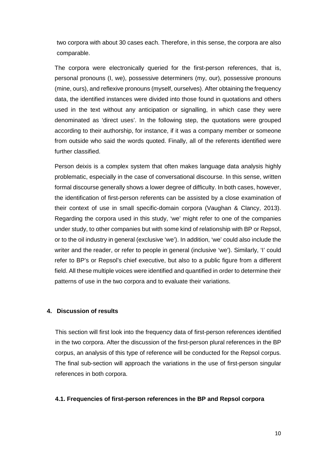two corpora with about 30 cases each. Therefore, in this sense, the corpora are also comparable.

The corpora were electronically queried for the first-person references, that is, personal pronouns (I, we), possessive determiners (my, our), possessive pronouns (mine, ours), and reflexive pronouns (myself, ourselves). After obtaining the frequency data, the identified instances were divided into those found in quotations and others used in the text without any anticipation or signalling, in which case they were denominated as 'direct uses'. In the following step, the quotations were grouped according to their authorship, for instance, if it was a company member or someone from outside who said the words quoted. Finally, all of the referents identified were further classified.

Person deixis is a complex system that often makes language data analysis highly problematic, especially in the case of conversational discourse. In this sense, written formal discourse generally shows a lower degree of difficulty. In both cases, however, the identification of first-person referents can be assisted by a close examination of their context of use in small specific-domain corpora (Vaughan & Clancy, 2013). Regarding the corpora used in this study, 'we' might refer to one of the companies under study, to other companies but with some kind of relationship with BP or Repsol, or to the oil industry in general (exclusive 'we'). In addition, 'we' could also include the writer and the reader, or refer to people in general (inclusive 'we'). Similarly, 'I' could refer to BP's or Repsol's chief executive, but also to a public figure from a different field. All these multiple voices were identified and quantified in order to determine their patterns of use in the two corpora and to evaluate their variations.

#### **4. Discussion of results**

This section will first look into the frequency data of first-person references identified in the two corpora. After the discussion of the first-person plural references in the BP corpus, an analysis of this type of reference will be conducted for the Repsol corpus. The final sub-section will approach the variations in the use of first-person singular references in both corpora.

#### **4.1. Frequencies of first-person references in the BP and Repsol corpora**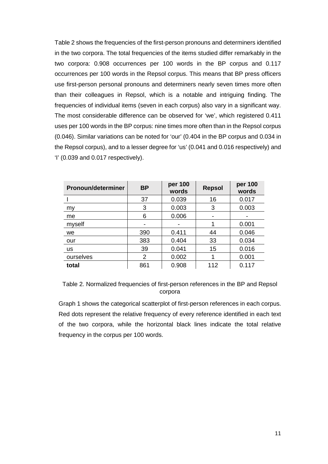Table 2 shows the frequencies of the first-person pronouns and determiners identified in the two corpora. The total frequencies of the items studied differ remarkably in the two corpora: 0.908 occurrences per 100 words in the BP corpus and 0.117 occurrences per 100 words in the Repsol corpus. This means that BP press officers use first-person personal pronouns and determiners nearly seven times more often than their colleagues in Repsol, which is a notable and intriguing finding. The frequencies of individual items (seven in each corpus) also vary in a significant way. The most considerable difference can be observed for 'we', which registered 0.411 uses per 100 words in the BP corpus: nine times more often than in the Repsol corpus (0.046). Similar variations can be noted for 'our' (0.404 in the BP corpus and 0.034 in the Repsol corpus), and to a lesser degree for 'us' (0.041 and 0.016 respectively) and 'I' (0.039 and 0.017 respectively).

| Pronoun/determiner | <b>BP</b> | per 100<br><b>Repsol</b><br>words |     | per 100<br>words |  |
|--------------------|-----------|-----------------------------------|-----|------------------|--|
|                    | 37        | 0.039                             | 16  | 0.017            |  |
| my                 | 3         | 0.003                             | 3   | 0.003            |  |
| me                 | 6         | 0.006                             |     |                  |  |
| myself             |           |                                   |     | 0.001            |  |
| we                 | 390       | 0.411                             | 44  | 0.046            |  |
| our                | 383       | 0.404                             | 33  | 0.034            |  |
| <b>us</b>          | 39        | 0.041                             | 15  | 0.016            |  |
| ourselves          | 2         | 0.002                             |     | 0.001            |  |
| total              | 861       | 0.908                             | 112 | 0.117            |  |

Table 2. Normalized frequencies of first-person references in the BP and Repsol corpora

Graph 1 shows the categorical scatterplot of first-person references in each corpus. Red dots represent the relative frequency of every reference identified in each text of the two corpora, while the horizontal black lines indicate the total relative frequency in the corpus per 100 words.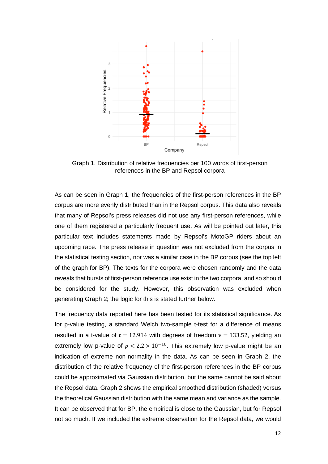

Graph 1. Distribution of relative frequencies per 100 words of first-person references in the BP and Repsol corpora

As can be seen in Graph 1, the frequencies of the first-person references in the BP corpus are more evenly distributed than in the Repsol corpus. This data also reveals that many of Repsol's press releases did not use any first-person references, while one of them registered a particularly frequent use. As will be pointed out later, this particular text includes statements made by Repsol's MotoGP riders about an upcoming race. The press release in question was not excluded from the corpus in the statistical testing section, nor was a similar case in the BP corpus (see the top left of the graph for BP). The texts for the corpora were chosen randomly and the data reveals that bursts of first-person reference use exist in the two corpora, and so should be considered for the study. However, this observation was excluded when generating Graph 2; the logic for this is stated further below.

The frequency data reported here has been tested for its statistical significance. As for p-value testing, a standard Welch two-sample t-test for a difference of means resulted in a t-value of  $t = 12.914$  with degrees of freedom  $v = 133.52$ , yielding an extremely low p-value of  $p < 2.2 \times 10^{-16}$ . This extremely low p-value might be an indication of extreme non-normality in the data. As can be seen in Graph 2, the distribution of the relative frequency of the first-person references in the BP corpus could be approximated via Gaussian distribution, but the same cannot be said about the Repsol data. Graph 2 shows the empirical smoothed distribution (shaded) versus the theoretical Gaussian distribution with the same mean and variance as the sample. It can be observed that for BP, the empirical is close to the Gaussian, but for Repsol not so much. If we included the extreme observation for the Repsol data, we would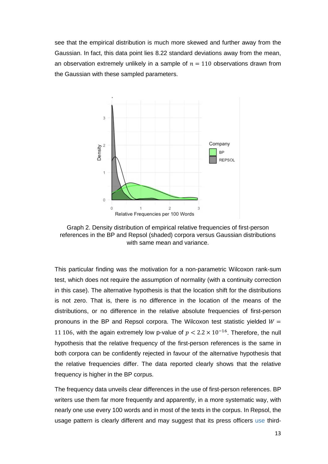see that the empirical distribution is much more skewed and further away from the Gaussian. In fact, this data point lies 8.22 standard deviations away from the mean, an observation extremely unlikely in a sample of  $n = 110$  observations drawn from the Gaussian with these sampled parameters.



Graph 2. Density distribution of empirical relative frequencies of first-person references in the BP and Repsol (shaded) corpora versus Gaussian distributions with same mean and variance.

This particular finding was the motivation for a non-parametric Wilcoxon rank-sum test, which does not require the assumption of normality (with a continuity correction in this case). The alternative hypothesis is that the location shift for the distributions is not zero. That is, there is no difference in the location of the means of the distributions, or no difference in the relative absolute frequencies of first-person pronouns in the BP and Repsol corpora. The Wilcoxon test statistic yielded  $W =$ 11 106, with the again extremely low p-value of  $p < 2.2 \times 10^{-16}$ . Therefore, the null hypothesis that the relative frequency of the first-person references is the same in both corpora can be confidently rejected in favour of the alternative hypothesis that the relative frequencies differ. The data reported clearly shows that the relative frequency is higher in the BP corpus.

The frequency data unveils clear differences in the use of first-person references. BP writers use them far more frequently and apparently, in a more systematic way, with nearly one use every 100 words and in most of the texts in the corpus. In Repsol, the usage pattern is clearly different and may suggest that its press officers use third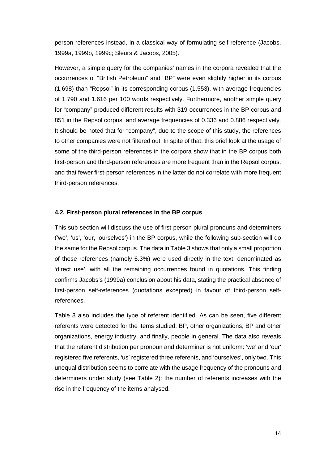person references instead, in a classical way of formulating self-reference (Jacobs, 1999a, 1999b, 1999c; Sleurs & Jacobs, 2005).

However, a simple query for the companies' names in the corpora revealed that the occurrences of "British Petroleum" and "BP" were even slightly higher in its corpus (1,698) than "Repsol" in its corresponding corpus (1,553), with average frequencies of 1.790 and 1.616 per 100 words respectively. Furthermore, another simple query for "company" produced different results with 319 occurrences in the BP corpus and 851 in the Repsol corpus, and average frequencies of 0.336 and 0.886 respectively. It should be noted that for "company", due to the scope of this study, the references to other companies were not filtered out. In spite of that, this brief look at the usage of some of the third-person references in the corpora show that in the BP corpus both first-person and third-person references are more frequent than in the Repsol corpus, and that fewer first-person references in the latter do not correlate with more frequent third-person references.

### **4.2. First-person plural references in the BP corpus**

This sub-section will discuss the use of first-person plural pronouns and determiners ('we', 'us', 'our, 'ourselves') in the BP corpus, while the following sub-section will do the same for the Repsol corpus. The data in Table 3 shows that only a small proportion of these references (namely 6.3%) were used directly in the text, denominated as 'direct use', with all the remaining occurrences found in quotations. This finding confirms Jacobs's (1999a) conclusion about his data, stating the practical absence of first-person self-references (quotations excepted) in favour of third-person selfreferences.

Table 3 also includes the type of referent identified. As can be seen, five different referents were detected for the items studied: BP, other organizations, BP and other organizations, energy industry, and finally, people in general. The data also reveals that the referent distribution per pronoun and determiner is not uniform: 'we' and 'our' registered five referents, 'us' registered three referents, and 'ourselves', only two. This unequal distribution seems to correlate with the usage frequency of the pronouns and determiners under study (see Table 2): the number of referents increases with the rise in the frequency of the items analysed.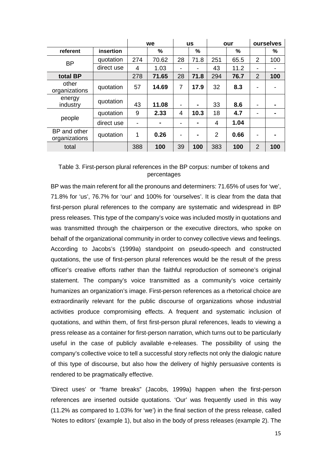|                               |            | we  |       | <b>us</b> |                | our |      | ourselves      |     |
|-------------------------------|------------|-----|-------|-----------|----------------|-----|------|----------------|-----|
| referent                      | insertion  |     | %     |           | %              |     | %    |                | %   |
| <b>BP</b>                     | quotation  | 274 | 70.62 | 28        | 71.8           | 251 | 65.5 | 2              | 100 |
|                               | direct use | 4   | 1.03  |           | -              | 43  | 11.2 | -              |     |
| total BP                      |            | 278 | 71.65 | 28        | 71.8           | 294 | 76.7 | 2              | 100 |
| other<br>organizations        | quotation  | 57  | 14.69 | 7         | 17.9           | 32  | 8.3  |                |     |
| energy<br>industry            | quotation  | 43  | 11.08 | -         | $\blacksquare$ | 33  | 8.6  | -              |     |
|                               | quotation  | 9   | 2.33  | 4         | 10.3           | 18  | 4.7  | -              |     |
| people                        | direct use |     |       |           | -              | 4   | 1.04 |                |     |
| BP and other<br>organizations | quotation  | 1   | 0.26  |           | $\blacksquare$ | 2   | 0.66 |                |     |
| total                         |            | 388 | 100   | 39        | 100            | 383 | 100  | $\overline{2}$ | 100 |

# Table 3. First-person plural references in the BP corpus: number of tokens and percentages

BP was the main referent for all the pronouns and determiners: 71.65% of uses for 'we', 71.8% for 'us', 76.7% for 'our' and 100% for 'ourselves'. It is clear from the data that first-person plural references to the company are systematic and widespread in BP press releases. This type of the company's voice was included mostly in quotations and was transmitted through the chairperson or the executive directors, who spoke on behalf of the organizational community in order to convey collective views and feelings. According to Jacobs's (1999a) standpoint on pseudo-speech and constructed quotations, the use of first-person plural references would be the result of the press officer's creative efforts rather than the faithful reproduction of someone's original statement. The company's voice transmitted as a community's voice certainly humanizes an organization's image. First-person references as a rhetorical choice are extraordinarily relevant for the public discourse of organizations whose industrial activities produce compromising effects. A frequent and systematic inclusion of quotations, and within them, of first first-person plural references, leads to viewing a press release as a container for first-person narration, which turns out to be particularly useful in the case of publicly available e-releases. The possibility of using the company's collective voice to tell a successful story reflects not only the dialogic nature of this type of discourse, but also how the delivery of highly persuasive contents is rendered to be pragmatically effective.

'Direct uses' or "frame breaks" (Jacobs, 1999a) happen when the first-person references are inserted outside quotations. 'Our' was frequently used in this way (11.2% as compared to 1.03% for 'we') in the final section of the press release, called 'Notes to editors' (example 1), but also in the body of press releases (example 2). The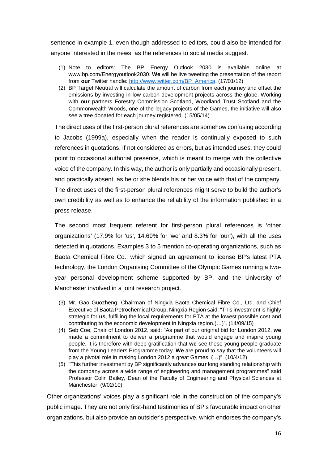sentence in example 1, even though addressed to editors, could also be intended for anyone interested in the news, as the references to social media suggest.

- (1) Note to editors: The BP Energy Outlook 2030 is available online at www.bp.com/Energyoutlook2030. **We** will be live tweeting the presentation of the report from **our** Twitter handle: [http://www.twitter.com/BP\\_America.](http://www.twitter.com/BP_America) (17/01/12)
- (2) BP Target Neutral will calculate the amount of carbon from each journey and offset the emissions by investing in low carbon development projects across the globe. Working with **our** partners Forestry Commission Scotland, Woodland Trust Scotland and the Commonwealth Woods, one of the legacy projects of the Games, the initiative will also see a tree donated for each journey registered. (15/05/14)

The direct uses of the first-person plural references are somehow confusing according to Jacobs (1999a), especially when the reader is continually exposed to such references in quotations. If not considered as errors, but as intended uses, they could point to occasional authorial presence, which is meant to merge with the collective voice of the company. In this way, the author is only partially and occasionally present, and practically absent, as he or she blends his or her voice with that of the company. The direct uses of the first-person plural references might serve to build the author's own credibility as well as to enhance the reliability of the information published in a press release.

The second most frequent referent for first-person plural references is 'other organizations' (17.9% for 'us', 14.69% for 'we' and 8.3% for 'our'), with all the uses detected in quotations. Examples 3 to 5 mention co-operating organizations, such as Baota Chemical Fibre Co., which signed an agreement to license BP's latest PTA technology, the London Organising Committee of the Olympic Games running a twoyear personal development scheme supported by BP, and the University of Manchester involved in a joint research project.

- (3) Mr. Gao Guozheng, Chairman of Ningxia Baota Chemical Fibre Co., Ltd. and Chief Executive of Baota Petrochemical Group, Ningxia Region said: "This investment is highly strategic for **us**, fulfilling the local requirements for PTA at the lowest possible cost and contributing to the economic development in Ningxia region.(…)". (14/09/15)
- (4) Seb Coe, Chair of London 2012, said: "As part of our original bid for London 2012, **we** made a commitment to deliver a programme that would engage and inspire young people. It is therefore with deep gratification that **we** see these young people graduate from the Young Leaders Programme today. **We** are proud to say that the volunteers will play a pivotal role in making London 2012 a great Games. (…)". (10/4/12)
- (5) "This further investment by BP significantly advances **our** long standing relationship with the company across a wide range of engineering and management programmes" said Professor Colin Bailey, Dean of the Faculty of Engineering and Physical Sciences at Manchester. (9/02/10)

Other organizations' voices play a significant role in the construction of the company's public image. They are not only first-hand testimonies of BP's favourable impact on other organizations, but also provide an outsider's perspective, which endorses the company's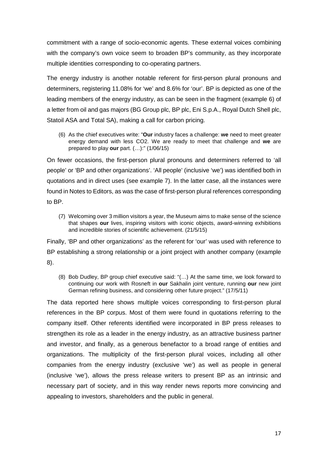commitment with a range of socio-economic agents. These external voices combining with the company's own voice seem to broaden BP's community, as they incorporate multiple identities corresponding to co-operating partners.

The energy industry is another notable referent for first-person plural pronouns and determiners, registering 11.08% for 'we' and 8.6% for 'our'. BP is depicted as one of the leading members of the energy industry, as can be seen in the fragment (example 6) of a letter from oil and gas majors (BG Group plc, BP plc, Eni S.p.A., Royal Dutch Shell plc, Statoil ASA and Total SA), making a call for carbon pricing.

(6) As the chief executives write: "**Our** industry faces a challenge: **we** need to meet greater energy demand with less CO2. We are ready to meet that challenge and **we** are prepared to play **our** part. (…):" (1/06/15)

On fewer occasions, the first-person plural pronouns and determiners referred to 'all people' or 'BP and other organizations'. 'All people' (inclusive 'we') was identified both in quotations and in direct uses (see example 7). In the latter case, all the instances were found in Notes to Editors, as was the case of first-person plural references corresponding to BP.

(7) Welcoming over 3 million visitors a year, the Museum aims to make sense of the science that shapes **our** lives, inspiring visitors with iconic objects, award-winning exhibitions and incredible stories of scientific achievement. (21/5/15)

Finally, 'BP and other organizations' as the referent for 'our' was used with reference to BP establishing a strong relationship or a joint project with another company (example 8).

(8) Bob Dudley, BP group chief executive said: "(…) At the same time, we look forward to continuing our work with Rosneft in **our** Sakhalin joint venture, running **our** new joint German refining business, and considering other future project." (17/5/11)

The data reported here shows multiple voices corresponding to first-person plural references in the BP corpus. Most of them were found in quotations referring to the company itself. Other referents identified were incorporated in BP press releases to strengthen its role as a leader in the energy industry, as an attractive business partner and investor, and finally, as a generous benefactor to a broad range of entities and organizations. The multiplicity of the first-person plural voices, including all other companies from the energy industry (exclusive 'we') as well as people in general (inclusive 'we'), allows the press release writers to present BP as an intrinsic and necessary part of society, and in this way render news reports more convincing and appealing to investors, shareholders and the public in general.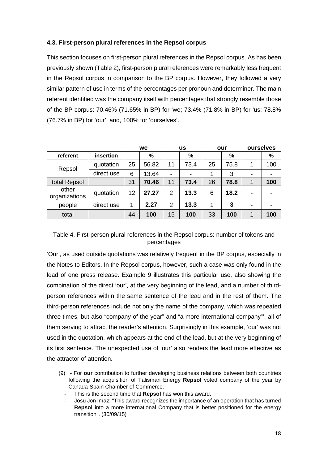# **4.3. First-person plural references in the Repsol corpus**

This section focuses on first-person plural references in the Repsol corpus. As has been previously shown (Table 2), first-person plural references were remarkably less frequent in the Repsol corpus in comparison to the BP corpus. However, they followed a very similar pattern of use in terms of the percentages per pronoun and determiner. The main referent identified was the company itself with percentages that strongly resemble those of the BP corpus: 70.46% (71.65% in BP) for 'we; 73.4% (71.8% in BP) for 'us; 78.8% (76.7% in BP) for 'our'; and, 100% for 'ourselves'.

|                        |            | we |       | <b>us</b>      |      | our |      | ourselves |     |
|------------------------|------------|----|-------|----------------|------|-----|------|-----------|-----|
| referent               | insertion  |    | %     |                | %    |     | $\%$ |           | %   |
| Repsol                 | quotation  | 25 | 56.82 | 11             | 73.4 | 25  | 75.8 | 1         | 100 |
|                        | direct use | 6  | 13.64 |                |      |     | 3    | -         |     |
| total Repsol           |            | 31 | 70.46 | 11             | 73.4 | 26  | 78.8 | 1         | 100 |
| other<br>organizations | quotation  | 12 | 27.27 | $\overline{2}$ | 13.3 | 6   | 18.2 | -         |     |
| people                 | direct use | 1  | 2.27  | $\overline{2}$ | 13.3 | 1   | 3    | -         | ۰   |
| total                  |            | 44 | 100   | 15             | 100  | 33  | 100  |           | 100 |

# Table 4. First-person plural references in the Repsol corpus: number of tokens and percentages

'Our', as used outside quotations was relatively frequent in the BP corpus, especially in the Notes to Editors. In the Repsol corpus, however, such a case was only found in the lead of one press release. Example 9 illustrates this particular use, also showing the combination of the direct 'our', at the very beginning of the lead, and a number of thirdperson references within the same sentence of the lead and in the rest of them. The third-person references include not only the name of the company, which was repeated three times, but also "company of the year" and "a more international company"', all of them serving to attract the reader's attention. Surprisingly in this example, 'our' was not used in the quotation, which appears at the end of the lead, but at the very beginning of its first sentence. The unexpected use of 'our' also renders the lead more effective as the attractor of attention.

- (9) For **our** contribution to further developing business relations between both countries following the acquisition of Talisman Energy **Repsol** voted company of the year by Canada-Spain Chamber of Commerce.
	- This is the second time that **Repsol** has won this award.
	- Josu Jon Imaz: "This award recognizes the importance of an operation that has turned **Repsol** into a more international Company that is better positioned for the energy transition". (30/09/15)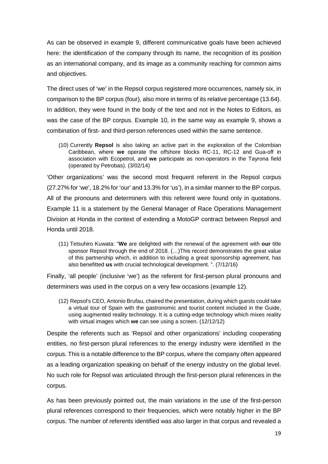As can be observed in example 9, different communicative goals have been achieved here: the identification of the company through its name, the recognition of its position as an international company, and its image as a community reaching for common aims and objectives.

The direct uses of 'we' in the Repsol corpus registered more occurrences, namely six, in comparison to the BP corpus (four), also more in terms of its relative percentage (13.64). In addition, they were found in the body of the text and not in the Notes to Editors, as was the case of the BP corpus. Example 10, in the same way as example 9, shows a combination of first- and third-person references used within the same sentence.

(10) Currently **Repsol** is also taking an active part in the exploration of the Colombian Caribbean, where **we** operate the offshore blocks RC-11, RC-12 and Gua-off in association with Ecopetrol, and **we** participate as non-operators in the Tayrona field (operated by Petrobas). (3/02/14)

'Other organizations' was the second most frequent referent in the Repsol corpus (27.27% for 'we', 18.2% for 'our' and 13.3% for 'us'), in a similar manner to the BP corpus. All of the pronouns and determiners with this referent were found only in quotations. Example 11 is a statement by the General Manager of Race Operations Management Division at Honda in the context of extending a MotoGP contract between Repsol and Honda until 2018.

(11) Tetsuhiro Kuwata: "**We** are delighted with the renewal of the agreement with **our** title sponsor Repsol through the end of 2018. (…)This record demonstrates the great value of this partnership which, in addition to including a great sponsorship agreement, has also benefitted **us** with crucial technological development. ". (7/12/16)

Finally, 'all people' (inclusive 'we') as the referent for first-person plural pronouns and determiners was used in the corpus on a very few occasions (example 12).

(12) Repsol's CEO, Antonio Brufau, chaired the presentation, during which guests could take a virtual tour of Spain with the gastronomic and tourist content included in the Guide, using augmented reality technology. It is a cutting-edge technology which mixes reality with virtual images which **we** can see using a screen. (12/12/12)

Despite the referents such as 'Repsol and other organizations' including cooperating entities, no first-person plural references to the energy industry were identified in the corpus. This is a notable difference to the BP corpus, where the company often appeared as a leading organization speaking on behalf of the energy industry on the global level. No such role for Repsol was articulated through the first-person plural references in the corpus.

As has been previously pointed out, the main variations in the use of the first-person plural references correspond to their frequencies, which were notably higher in the BP corpus. The number of referents identified was also larger in that corpus and revealed a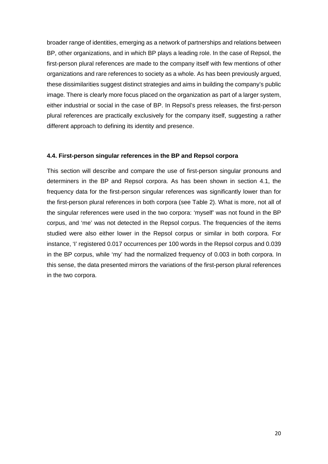broader range of identities, emerging as a network of partnerships and relations between BP, other organizations, and in which BP plays a leading role. In the case of Repsol, the first-person plural references are made to the company itself with few mentions of other organizations and rare references to society as a whole. As has been previously argued, these dissimilarities suggest distinct strategies and aims in building the company's public image. There is clearly more focus placed on the organization as part of a larger system, either industrial or social in the case of BP. In Repsol's press releases, the first-person plural references are practically exclusively for the company itself, suggesting a rather different approach to defining its identity and presence.

# **4.4. First-person singular references in the BP and Repsol corpora**

This section will describe and compare the use of first-person singular pronouns and determiners in the BP and Repsol corpora. As has been shown in section 4.1, the frequency data for the first-person singular references was significantly lower than for the first-person plural references in both corpora (see Table 2). What is more, not all of the singular references were used in the two corpora: 'myself' was not found in the BP corpus, and 'me' was not detected in the Repsol corpus. The frequencies of the items studied were also either lower in the Repsol corpus or similar in both corpora. For instance, 'I' registered 0.017 occurrences per 100 words in the Repsol corpus and 0.039 in the BP corpus, while 'my' had the normalized frequency of 0.003 in both corpora. In this sense, the data presented mirrors the variations of the first-person plural references in the two corpora.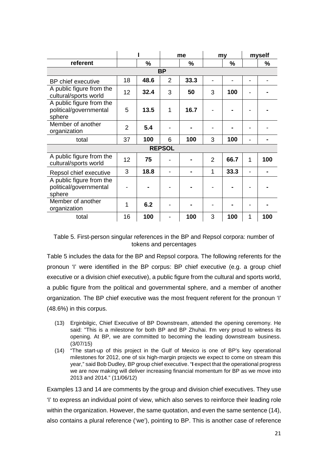|                                                              |                |               | me             |      | my             |               | myself       |     |  |
|--------------------------------------------------------------|----------------|---------------|----------------|------|----------------|---------------|--------------|-----|--|
| referent                                                     |                | $\frac{0}{0}$ |                | %    |                | $\frac{9}{6}$ |              | %   |  |
| <b>BP</b>                                                    |                |               |                |      |                |               |              |     |  |
| BP chief executive                                           | 18             | 48.6          | $\overline{2}$ | 33.3 |                |               |              |     |  |
| A public figure from the<br>cultural/sports world            | 12             | 32.4          | 3              | 50   | 3              | 100           |              |     |  |
| A public figure from the<br>political/governmental<br>sphere | 5              | 13.5          | 1              | 16.7 |                |               |              |     |  |
| Member of another<br>organization                            | $\overline{2}$ | 5.4           |                |      |                |               |              |     |  |
| total                                                        | 37             | 100           | 6              | 100  | 3              | 100           |              |     |  |
|                                                              |                |               | <b>REPSOL</b>  |      |                |               |              |     |  |
| A public figure from the<br>cultural/sports world            | 12             | 75            |                |      | $\overline{2}$ | 66.7          | $\mathbf{1}$ | 100 |  |
| Repsol chief executive                                       | 3              | 18.8          |                |      | 1              | 33.3          |              |     |  |
| A public figure from the<br>political/governmental<br>sphere |                |               |                |      |                |               |              |     |  |
| Member of another<br>organization                            | 1              | 6.2           |                |      |                |               |              |     |  |
| total                                                        | 16             | 100           |                | 100  | 3              | 100           | 1            | 100 |  |

Table 5. First-person singular references in the BP and Repsol corpora: number of tokens and percentages

Table 5 includes the data for the BP and Repsol corpora. The following referents for the pronoun 'I' were identified in the BP corpus: BP chief executive (e.g. a group chief executive or a division chief executive), a public figure from the cultural and sports world, a public figure from the political and governmental sphere, and a member of another organization. The BP chief executive was the most frequent referent for the pronoun 'I' (48.6%) in this corpus.

- (13) Erginbilgic, Chief Executive of BP Downstream, attended the opening ceremony. He said: "This is a milestone for both BP and BP Zhuhai. **I**'m very proud to witness its opening. At BP, we are committed to becoming the leading downstream business. (3/07/15)
- (14) "The start-up of this project in the Gulf of Mexico is one of BP's key operational milestones for 2012, one of six high-margin projects we expect to come on stream this year," said Bob Dudley, BP group chief executive. "**I** expect that the operational progress we are now making will deliver increasing financial momentum for BP as we move into 2013 and 2014." (11/06/12)

Examples 13 and 14 are comments by the group and division chief executives. They use 'I' to express an individual point of view, which also serves to reinforce their leading role within the organization. However, the same quotation, and even the same sentence (14), also contains a plural reference ('we'), pointing to BP. This is another case of reference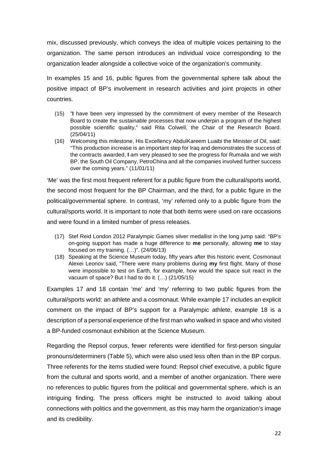mix, discussed previously, which conveys the idea of multiple voices pertaining to the organization. The same person introduces an individual voice corresponding to the organization leader alongside a collective voice of the organization's community.

In examples 15 and 16, public figures from the governmental sphere talk about the positive impact of BP's involvement in research activities and joint projects in other countries.

- (15) "**I** have been very impressed by the commitment of every member of the Research Board to create the sustainable processes that now underpin a program of the highest possible scientific quality," said Rita Colwell, the Chair of the Research Board. (25/04/11)
- (16) Welcoming this milestone, His Excellency AbdulKareem Luaibi the Minister of Oil, said: "This production increase is an important step for Iraq and demonstrates the success of the contracts awarded, **I** am very pleased to see the progress for Rumaila and we wish BP, the South Oil Company, PetroChina and all the companies involved further success over the coming years." (11/01/11)

'Me' was the first most frequent referent for a public figure from the cultural/sports world, the second most frequent for the BP Chairman, and the third, for a public figure in the political/governmental sphere. In contrast, 'my' referred only to a public figure from the cultural/sports world. It is important to note that both items were used on rare occasions and were found in a limited number of press releases.

- (17) Stef Reid London 2012 Paralympic Games silver medallist in the long jump said: "BP's on-going support has made a huge difference to **me** personally, allowing **me** to stay focused on my training. (…)". (24/06/13)
- (18) Speaking at the Science Museum today, fifty years after this historic event, Cosmonaut Alexei Leonov said, "There were many problems during **my** first flight. Many of those were impossible to test on Earth, for example, how would the space suit react in the vacuum of space? But I had to do it. (…) (21/05/15)

Examples 17 and 18 contain 'me' and 'my' referring to two public figures from the cultural/sports world: an athlete and a cosmonaut. While example 17 includes an explicit comment on the impact of BP's support for a Paralympic athlete, example 18 is a description of a personal experience of the first man who walked in space and who visited a BP-funded cosmonaut exhibition at the Science Museum.

Regarding the Repsol corpus, fewer referents were identified for first-person singular pronouns/determiners (Table 5), which were also used less often than in the BP corpus. Three referents for the items studied were found: Repsol chief executive, a public figure from the cultural and sports world, and a member of another organization. There were no references to public figures from the political and governmental sphere, which is an intriguing finding. The press officers might be instructed to avoid talking about connections with politics and the government, as this may harm the organization's image and its credibility.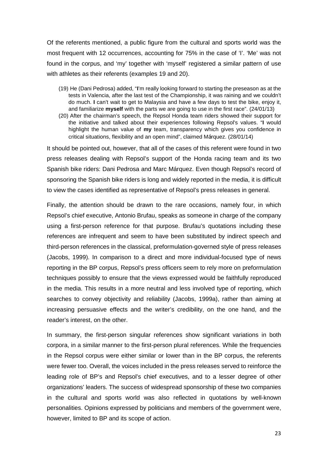Of the referents mentioned, a public figure from the cultural and sports world was the most frequent with 12 occurrences, accounting for 75% in the case of 'I'. 'Me' was not found in the corpus, and 'my' together with 'myself' registered a similar pattern of use with athletes as their referents (examples 19 and 20).

- (19) He (Dani Pedrosa) added, "**I**'m really looking forward to starting the preseason as at the tests in Valencia, after the last test of the Championship, it was raining and we couldn't do much. **I** can't wait to get to Malaysia and have a few days to test the bike, enjoy it, and familiarize **myself** with the parts we are going to use in the first race". (24/01/13)
- (20) After the chairman's speech, the Repsol Honda team riders showed their support for the initiative and talked about their experiences following Repsol's values. "**I** would highlight the human value of **my** team, transparency which gives you confidence in critical situations, flexibility and an open mind", claimed Márquez. (28/01/14)

It should be pointed out, however, that all of the cases of this referent were found in two press releases dealing with Repsol's support of the Honda racing team and its two Spanish bike riders: Dani Pedrosa and Marc Márquez. Even though Repsol's record of sponsoring the Spanish bike riders is long and widely reported in the media, it is difficult to view the cases identified as representative of Repsol's press releases in general.

Finally, the attention should be drawn to the rare occasions, namely four, in which Repsol's chief executive, Antonio Brufau, speaks as someone in charge of the company using a first-person reference for that purpose. Brufau's quotations including these references are infrequent and seem to have been substituted by indirect speech and third-person references in the classical, preformulation-governed style of press releases (Jacobs, 1999). In comparison to a direct and more individual-focused type of news reporting in the BP corpus, Repsol's press officers seem to rely more on preformulation techniques possibly to ensure that the views expressed would be faithfully reproduced in the media. This results in a more neutral and less involved type of reporting, which searches to convey objectivity and reliability (Jacobs, 1999a), rather than aiming at increasing persuasive effects and the writer's credibility, on the one hand, and the reader's interest, on the other.

In summary, the first-person singular references show significant variations in both corpora, in a similar manner to the first-person plural references. While the frequencies in the Repsol corpus were either similar or lower than in the BP corpus, the referents were fewer too. Overall, the voices included in the press releases served to reinforce the leading role of BP's and Repsol's chief executives, and to a lesser degree of other organizations' leaders. The success of widespread sponsorship of these two companies in the cultural and sports world was also reflected in quotations by well-known personalities. Opinions expressed by politicians and members of the government were, however, limited to BP and its scope of action.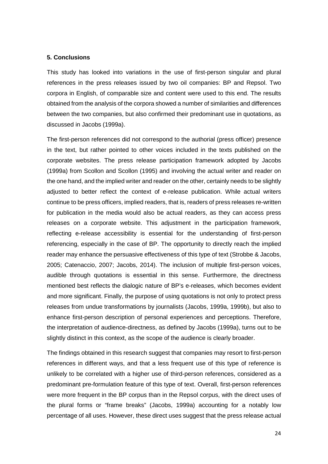#### **5. Conclusions**

This study has looked into variations in the use of first-person singular and plural references in the press releases issued by two oil companies: BP and Repsol. Two corpora in English, of comparable size and content were used to this end. The results obtained from the analysis of the corpora showed a number of similarities and differences between the two companies, but also confirmed their predominant use in quotations, as discussed in Jacobs (1999a).

The first-person references did not correspond to the authorial (press officer) presence in the text, but rather pointed to other voices included in the texts published on the corporate websites. The press release participation framework adopted by Jacobs (1999a) from Scollon and Scollon (1995) and involving the actual writer and reader on the one hand, and the implied writer and reader on the other, certainly needs to be slightly adjusted to better reflect the context of e-release publication. While actual writers continue to be press officers, implied readers, that is, readers of press releases re-written for publication in the media would also be actual readers, as they can access press releases on a corporate website. This adjustment in the participation framework, reflecting e-release accessibility is essential for the understanding of first-person referencing, especially in the case of BP. The opportunity to directly reach the implied reader may enhance the persuasive effectiveness of this type of text (Strobbe & Jacobs, 2005; Catenaccio, 2007; Jacobs, 2014). The inclusion of multiple first-person voices, audible through quotations is essential in this sense. Furthermore, the directness mentioned best reflects the dialogic nature of BP's e-releases, which becomes evident and more significant. Finally, the purpose of using quotations is not only to protect press releases from undue transformations by journalists (Jacobs, 1999a, 1999b), but also to enhance first-person description of personal experiences and perceptions. Therefore, the interpretation of audience-directness, as defined by Jacobs (1999a), turns out to be slightly distinct in this context, as the scope of the audience is clearly broader.

The findings obtained in this research suggest that companies may resort to first-person references in different ways, and that a less frequent use of this type of reference is unlikely to be correlated with a higher use of third-person references, considered as a predominant pre-formulation feature of this type of text. Overall, first-person references were more frequent in the BP corpus than in the Repsol corpus, with the direct uses of the plural forms or "frame breaks" (Jacobs, 1999a) accounting for a notably low percentage of all uses. However, these direct uses suggest that the press release actual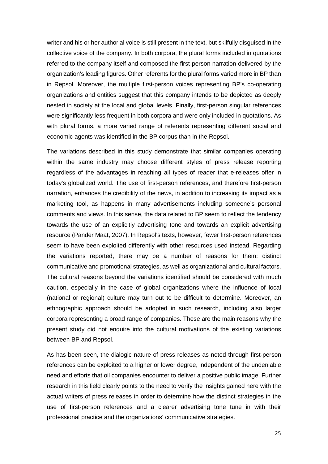writer and his or her authorial voice is still present in the text, but skilfully disguised in the collective voice of the company. In both corpora, the plural forms included in quotations referred to the company itself and composed the first-person narration delivered by the organization's leading figures. Other referents for the plural forms varied more in BP than in Repsol. Moreover, the multiple first-person voices representing BP's co-operating organizations and entities suggest that this company intends to be depicted as deeply nested in society at the local and global levels. Finally, first-person singular references were significantly less frequent in both corpora and were only included in quotations. As with plural forms, a more varied range of referents representing different social and economic agents was identified in the BP corpus than in the Repsol.

The variations described in this study demonstrate that similar companies operating within the same industry may choose different styles of press release reporting regardless of the advantages in reaching all types of reader that e-releases offer in today's globalized world. The use of first-person references, and therefore first-person narration, enhances the credibility of the news, in addition to increasing its impact as a marketing tool, as happens in many advertisements including someone's personal comments and views. In this sense, the data related to BP seem to reflect the tendency towards the use of an explicitly advertising tone and towards an explicit advertising resource (Pander Maat, 2007). In Repsol's texts, however, fewer first-person references seem to have been exploited differently with other resources used instead. Regarding the variations reported, there may be a number of reasons for them: distinct communicative and promotional strategies, as well as organizational and cultural factors. The cultural reasons beyond the variations identified should be considered with much caution, especially in the case of global organizations where the influence of local (national or regional) culture may turn out to be difficult to determine. Moreover, an ethnographic approach should be adopted in such research, including also larger corpora representing a broad range of companies. These are the main reasons why the present study did not enquire into the cultural motivations of the existing variations between BP and Repsol.

As has been seen, the dialogic nature of press releases as noted through first-person references can be exploited to a higher or lower degree, independent of the undeniable need and efforts that oil companies encounter to deliver a positive public image. Further research in this field clearly points to the need to verify the insights gained here with the actual writers of press releases in order to determine how the distinct strategies in the use of first-person references and a clearer advertising tone tune in with their professional practice and the organizations' communicative strategies.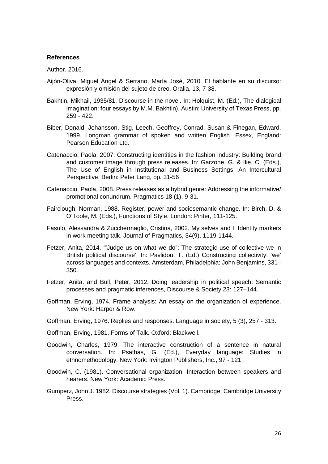#### **References**

Author. 2016.

- Aijón-Oliva, Miguel Ángel & Serrano, María José, 2010. El hablante en su discurso: expresión y omisión del sujeto de creo. Oralia, 13, 7-38.
- Bakhtin, Mikhail, 1935/81. Discourse in the novel. In: Holquist, M. (Ed.), The dialogical imagination: four essays by M.M. Bakhtin). Austin: University of Texas Press, pp. 259 - 422.
- Biber, Donald, Johansson, Stig, Leech, Geoffrey, Conrad, Susan & Finegan, Edward, 1999. Longman grammar of spoken and written English. Essex, England: Pearson Education Ltd.
- Catenaccio, Paola, 2007. Constructing identities in the fashion industry: Building brand and customer image through press releases. In: Garzone, G. & Ilie, C. (Eds.), The Use of English in Institutional and Business Settings. An Intercultural Perspective. Berlin: Peter Lang, pp. 31-56
- Catenaccio, Paola, 2008. Press releases as a hybrid genre: Addressing the informative/ promotional conundrum. Pragmatics 18 (1), 9-31.
- Fairclough, Norman, 1988. Register, power and sociosemantic change. In: Birch, D. & O'Toole, M. (Eds.), Functions of Style. London: Pinter, 111-125.
- Fasulo, Alessandra & Zucchermaglio, Cristina, 2002. My selves and I: Identity markers in work meeting talk. Journal of Pragmatics, 34(9), 1119-1144.
- Fetzer, Anita, 2014. '"Judge us on what we do": The strategic use of collective we in British political discourse', In: Pavlidou, T. (Ed.) Constructing collectivity: 'we' across languages and contexts. Amsterdam, Philadelphia: John Benjamins, 331– 350.
- Fetzer, Anita. and Bull, Peter, 2012. Doing leadership in political speech: Semantic processes and pragmatic inferences, Discourse & Society 23: 127–144.
- Goffman, Erving, 1974. Frame analysis: An essay on the organization of experience. New York: Harper & Row.
- Goffman, Erving, 1976. Replies and responses. Language in society, 5 (3), 257 313.
- Goffman, Erving, 1981. Forms of Talk. Oxford: Blackwell.
- Goodwin, Charles, 1979. The interactive construction of a sentence in natural conversation. In: Psathas, G. (Ed.), Everyday language: Studies in ethnomethodology. New York: Irvington Publishers, Inc., 97 - 121
- Goodwin, C. (1981). Conversational organization. Interaction between speakers and hearers. New York: Academic Press.
- Gumperz, John J. 1982. Discourse strategies (Vol. 1). Cambridge: Cambridge University Press.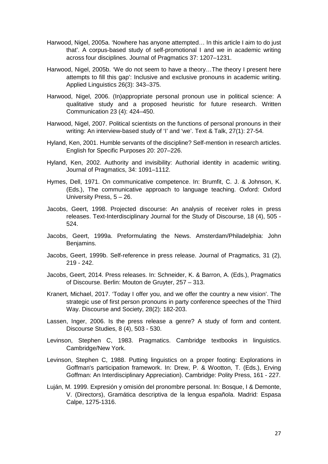- Harwood, Nigel, 2005a. 'Nowhere has anyone attempted… In this article I aim to do just that'. A corpus-based study of self-promotional I and we in academic writing across four disciplines. Journal of Pragmatics 37: 1207–1231.
- Harwood, Nigel, 2005b. 'We do not seem to have a theory…The theory I present here attempts to fill this gap': Inclusive and exclusive pronouns in academic writing. Applied Linguistics 26(3): 343–375.
- Harwood, Nigel, 2006. (In)appropriate personal pronoun use in political science: A qualitative study and a proposed heuristic for future research. Written Communication 23 (4): 424–450.
- Harwood, Nigel, 2007. Political scientists on the functions of personal pronouns in their writing: An interview-based study of 'I' and 'we'. Text & Talk, 27(1): 27-54.
- Hyland, Ken, 2001. Humble servants of the discipline? Self-mention in research articles. English for Specific Purposes 20: 207–226.
- Hyland, Ken, 2002. Authority and invisibility: Authorial identity in academic writing. Journal of Pragmatics, 34: 1091–1112.
- Hymes, Dell, 1971. On communicative competence. In: Brumfit, C. J. & Johnson, K. (Eds.), The communicative approach to language teaching. Oxford: Oxford University Press, 5 – 26.
- Jacobs, Geert, 1998. Projected discourse: An analysis of receiver roles in press releases. Text-Interdisciplinary Journal for the Study of Discourse, 18 (4), 505 - 524.
- Jacobs, Geert, 1999a. Preformulating the News. Amsterdam/Philadelphia: John Benjamins.
- Jacobs, Geert, 1999b. Self-reference in press release. Journal of Pragmatics, 31 (2), 219 - 242.
- Jacobs, Geert, 2014. Press releases. In: Schneider, K. & Barron, A. (Eds.), Pragmatics of Discourse. Berlin: Mouton de Gruyter, 257 – 313.
- Kranert, Michael, 2017. 'Today I offer you, and we offer the country a new vision'. The strategic use of first person pronouns in party conference speeches of the Third Way. Discourse and Society, 28(2): 182-203.
- Lassen, Inger, 2006. Is the press release a genre? A study of form and content. Discourse Studies, 8 (4), 503 - 530.
- Levinson, Stephen C, 1983. Pragmatics. Cambridge textbooks in linguistics. Cambridge/New York.
- Levinson, Stephen C, 1988. Putting linguistics on a proper footing: Explorations in Goffman's participation framework. In: Drew, P. & Wootton, T. (Eds.), Erving Goffman: An Interdisciplinary Appreciation). Cambridge: Polity Press, 161 - 227.
- Luján, M. 1999. Expresión y omisión del pronombre personal. In: Bosque, I & Demonte, V. (Directors), Gramática descriptiva de la lengua española. Madrid: Espasa Calpe, 1275-1316.